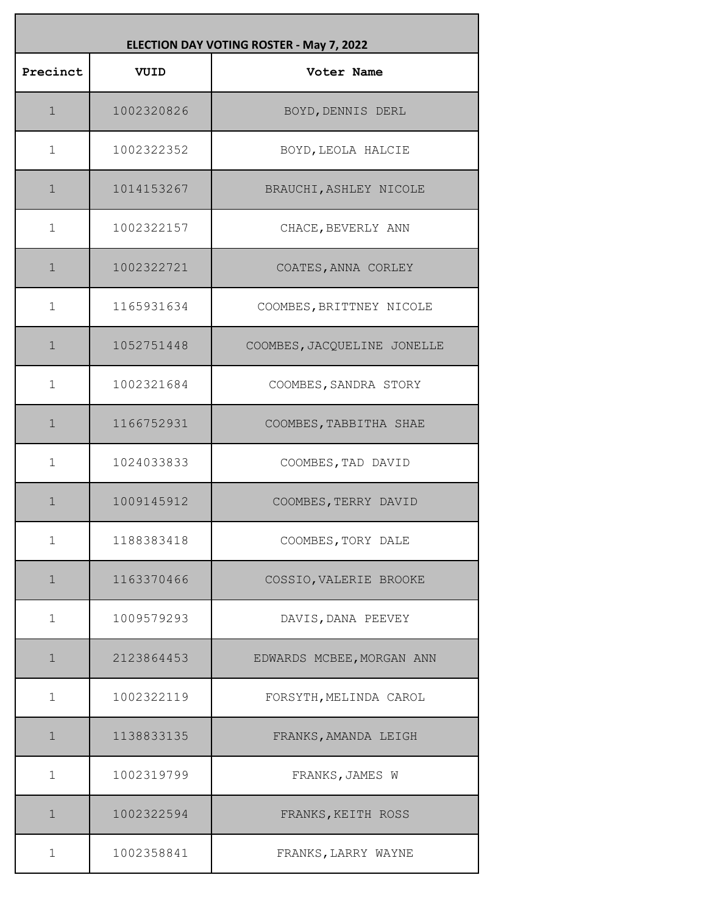| ELECTION DAY VOTING ROSTER - May 7, 2022 |            |                             |
|------------------------------------------|------------|-----------------------------|
| Precinct                                 | VUID       | Voter Name                  |
| $\mathbf 1$                              | 1002320826 | BOYD, DENNIS DERL           |
| $\mathbf 1$                              | 1002322352 | BOYD, LEOLA HALCIE          |
| $\mathbf{1}$                             | 1014153267 | BRAUCHI, ASHLEY NICOLE      |
| $\mathbf 1$                              | 1002322157 | CHACE, BEVERLY ANN          |
| $\mathbf 1$                              | 1002322721 | COATES, ANNA CORLEY         |
| $\mathbf 1$                              | 1165931634 | COOMBES, BRITTNEY NICOLE    |
| $\mathbf 1$                              | 1052751448 | COOMBES, JACQUELINE JONELLE |
| $\mathbf{1}$                             | 1002321684 | COOMBES, SANDRA STORY       |
| $\mathbf 1$                              | 1166752931 | COOMBES, TABBITHA SHAE      |
| $\mathbf 1$                              | 1024033833 | COOMBES, TAD DAVID          |
| $\mathbf 1$                              | 1009145912 | COOMBES, TERRY DAVID        |
| $\mathbf 1$                              | 1188383418 | COOMBES, TORY DALE          |
| $\mathbf 1$                              | 1163370466 | COSSIO, VALERIE BROOKE      |
| $\mathbf 1$                              | 1009579293 | DAVIS, DANA PEEVEY          |
| $\mathbf 1$                              | 2123864453 | EDWARDS MCBEE, MORGAN ANN   |
| 1                                        | 1002322119 | FORSYTH, MELINDA CAROL      |
| $\mathbf 1$                              | 1138833135 | FRANKS, AMANDA LEIGH        |
| $\mathbf 1$                              | 1002319799 | FRANKS, JAMES W             |
| $\mathbf 1$                              | 1002322594 | FRANKS, KEITH ROSS          |
| 1                                        | 1002358841 | FRANKS, LARRY WAYNE         |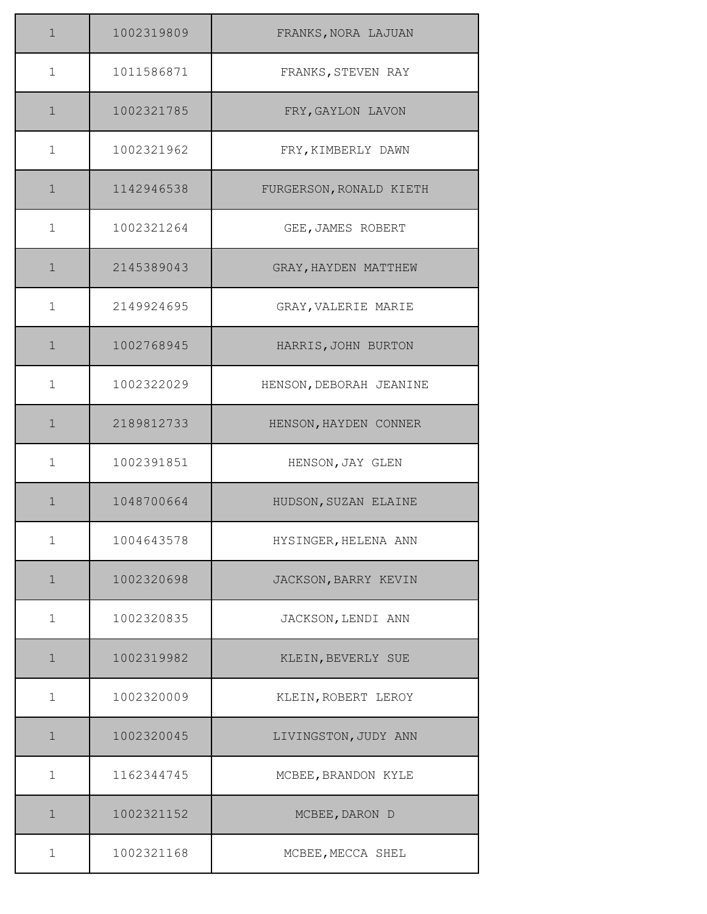| $\mathbf{1}$ | 1002319809 | FRANKS, NORA LAJUAN     |
|--------------|------------|-------------------------|
| $\mathbf{1}$ | 1011586871 | FRANKS, STEVEN RAY      |
| $\mathbf{1}$ | 1002321785 | FRY, GAYLON LAVON       |
| $\mathbf 1$  | 1002321962 | FRY, KIMBERLY DAWN      |
| $\mathbf 1$  | 1142946538 | FURGERSON, RONALD KIETH |
| $\mathbf 1$  | 1002321264 | GEE, JAMES ROBERT       |
| $\mathbf{1}$ | 2145389043 | GRAY, HAYDEN MATTHEW    |
| $\mathbf 1$  | 2149924695 | GRAY, VALERIE MARIE     |
| $\mathbf 1$  | 1002768945 | HARRIS, JOHN BURTON     |
| $\mathbf 1$  | 1002322029 | HENSON, DEBORAH JEANINE |
| $\mathbf 1$  | 2189812733 | HENSON, HAYDEN CONNER   |
| $\mathbf 1$  | 1002391851 | HENSON, JAY GLEN        |
| $\mathbf 1$  | 1048700664 | HUDSON, SUZAN ELAINE    |
| $\mathbf 1$  | 1004643578 | HYSINGER, HELENA ANN    |
| $\mathbf 1$  | 1002320698 | JACKSON, BARRY KEVIN    |
| $\mathbf 1$  | 1002320835 | JACKSON, LENDI ANN      |
| $\mathbf 1$  | 1002319982 | KLEIN, BEVERLY SUE      |
| $\mathbf 1$  | 1002320009 | KLEIN, ROBERT LEROY     |
| $\mathbf 1$  | 1002320045 | LIVINGSTON, JUDY ANN    |
| $\mathbf 1$  | 1162344745 | MCBEE, BRANDON KYLE     |
| $\mathbf 1$  | 1002321152 | MCBEE, DARON D          |
| $\mathbf 1$  | 1002321168 | MCBEE, MECCA SHEL       |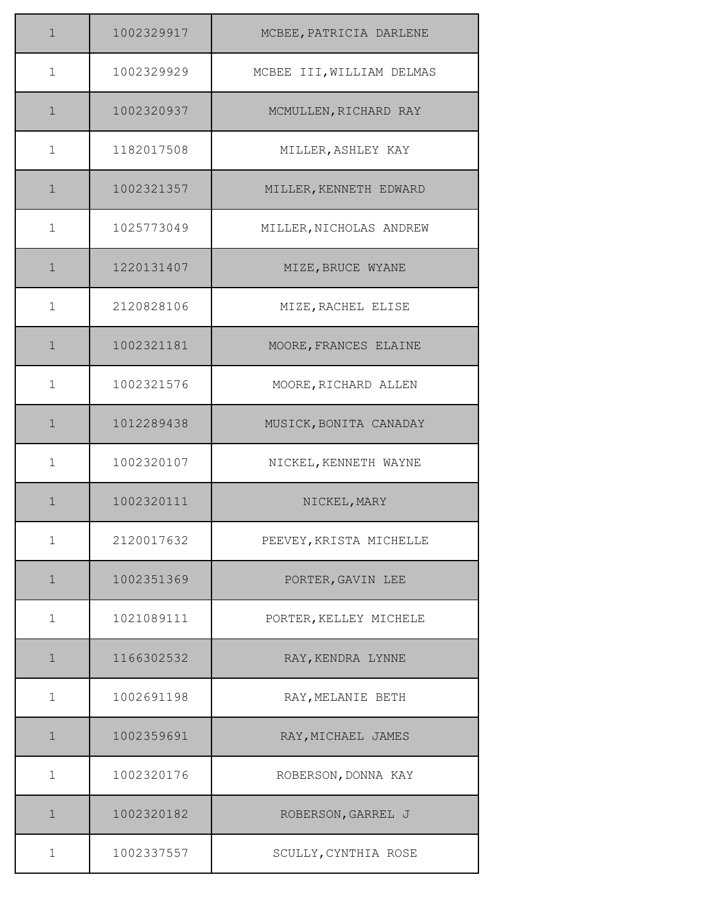| $\mathbf 1$  | 1002329917 | MCBEE, PATRICIA DARLENE   |
|--------------|------------|---------------------------|
| $\mathbf 1$  | 1002329929 | MCBEE III, WILLIAM DELMAS |
| $\mathbf 1$  | 1002320937 | MCMULLEN, RICHARD RAY     |
| $\mathbf 1$  | 1182017508 | MILLER, ASHLEY KAY        |
| $\mathbf{1}$ | 1002321357 | MILLER, KENNETH EDWARD    |
| $\mathbf 1$  | 1025773049 | MILLER, NICHOLAS ANDREW   |
| $\mathbf 1$  | 1220131407 | MIZE, BRUCE WYANE         |
| $\mathbf 1$  | 2120828106 | MIZE, RACHEL ELISE        |
| $\mathbf 1$  | 1002321181 | MOORE, FRANCES ELAINE     |
| $\mathbf{1}$ | 1002321576 | MOORE, RICHARD ALLEN      |
| $\mathbf{1}$ | 1012289438 | MUSICK, BONITA CANADAY    |
| 1            | 1002320107 | NICKEL, KENNETH WAYNE     |
| $\mathbf 1$  | 1002320111 | NICKEL, MARY              |
| $\mathbf 1$  | 2120017632 | PEEVEY, KRISTA MICHELLE   |
| $\mathbf 1$  | 1002351369 | PORTER, GAVIN LEE         |
| $\mathbf 1$  | 1021089111 | PORTER, KELLEY MICHELE    |
| $\mathbf 1$  | 1166302532 | RAY, KENDRA LYNNE         |
| $\mathbf 1$  | 1002691198 | RAY, MELANIE BETH         |
| $\mathbf 1$  | 1002359691 | RAY, MICHAEL JAMES        |
| 1            | 1002320176 | ROBERSON, DONNA KAY       |
| $\mathbf 1$  | 1002320182 | ROBERSON, GARREL J        |
| 1            | 1002337557 | SCULLY, CYNTHIA ROSE      |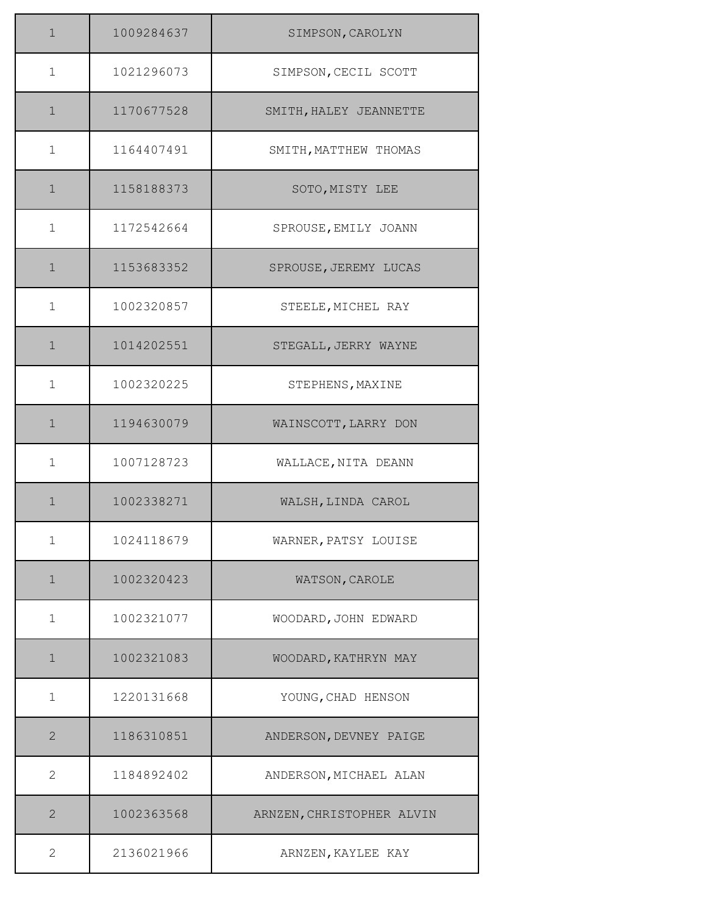| $\mathbf 1$    | 1009284637 | SIMPSON, CAROLYN          |
|----------------|------------|---------------------------|
| $\mathbf 1$    | 1021296073 | SIMPSON, CECIL SCOTT      |
| $\mathbf 1$    | 1170677528 | SMITH, HALEY JEANNETTE    |
| $\mathbf 1$    | 1164407491 | SMITH, MATTHEW THOMAS     |
| $\mathbf 1$    | 1158188373 | SOTO, MISTY LEE           |
| $\mathbf 1$    | 1172542664 | SPROUSE, EMILY JOANN      |
| $\mathbf{1}$   | 1153683352 | SPROUSE, JEREMY LUCAS     |
| $\mathbf{1}$   | 1002320857 | STEELE, MICHEL RAY        |
| $\mathbf 1$    | 1014202551 | STEGALL, JERRY WAYNE      |
| $\mathbf 1$    | 1002320225 | STEPHENS, MAXINE          |
| $\mathbf{1}$   | 1194630079 | WAINSCOTT, LARRY DON      |
| $\mathbf 1$    | 1007128723 | WALLACE, NITA DEANN       |
| $\mathbf{1}$   | 1002338271 | WALSH, LINDA CAROL        |
| $\mathbf 1$    | 1024118679 | WARNER, PATSY LOUISE      |
| $\mathbf 1$    | 1002320423 | WATSON, CAROLE            |
| $\mathbf 1$    | 1002321077 | WOODARD, JOHN EDWARD      |
| $\mathbf 1$    | 1002321083 | WOODARD, KATHRYN MAY      |
| $\mathbf 1$    | 1220131668 | YOUNG, CHAD HENSON        |
| $\overline{2}$ | 1186310851 | ANDERSON, DEVNEY PAIGE    |
| $\mathbf{2}$   | 1184892402 | ANDERSON, MICHAEL ALAN    |
| $\overline{2}$ | 1002363568 | ARNZEN, CHRISTOPHER ALVIN |
| $\overline{2}$ | 2136021966 | ARNZEN, KAYLEE KAY        |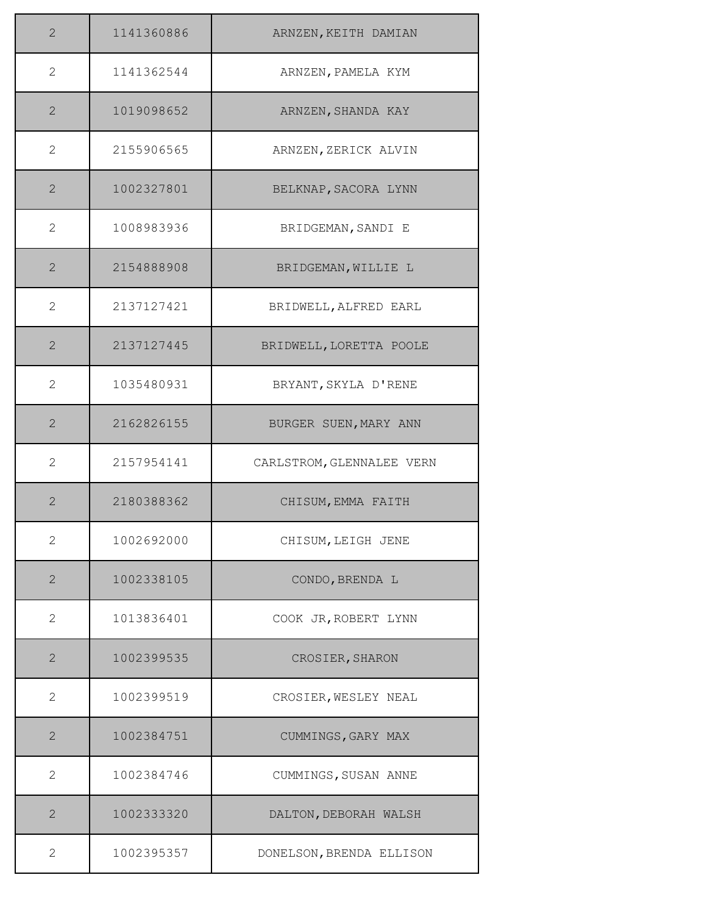| $\overline{2}$ | 1141360886 | ARNZEN, KEITH DAMIAN      |
|----------------|------------|---------------------------|
| $\overline{2}$ | 1141362544 | ARNZEN, PAMELA KYM        |
| $\mathbf{2}$   | 1019098652 | ARNZEN, SHANDA KAY        |
| 2              | 2155906565 | ARNZEN, ZERICK ALVIN      |
| $\overline{2}$ | 1002327801 | BELKNAP, SACORA LYNN      |
| 2              | 1008983936 | BRIDGEMAN, SANDI E        |
| $\overline{2}$ | 2154888908 | BRIDGEMAN, WILLIE L       |
| $\overline{2}$ | 2137127421 | BRIDWELL, ALFRED EARL     |
| $\overline{2}$ | 2137127445 | BRIDWELL, LORETTA POOLE   |
| $\overline{2}$ | 1035480931 | BRYANT, SKYLA D'RENE      |
| $\overline{2}$ | 2162826155 | BURGER SUEN, MARY ANN     |
| $\overline{2}$ | 2157954141 | CARLSTROM, GLENNALEE VERN |
| $\overline{2}$ | 2180388362 | CHISUM, EMMA FAITH        |
| 2              | 1002692000 | CHISUM, LEIGH JENE        |
| $\overline{2}$ | 1002338105 | CONDO, BRENDA L           |
| $\overline{2}$ | 1013836401 | COOK JR, ROBERT LYNN      |
| $\mathbf{2}$   | 1002399535 | CROSIER, SHARON           |
| $\overline{2}$ | 1002399519 | CROSIER, WESLEY NEAL      |
| $\overline{2}$ | 1002384751 | CUMMINGS, GARY MAX        |
| 2              | 1002384746 | CUMMINGS, SUSAN ANNE      |
| $\overline{2}$ | 1002333320 | DALTON, DEBORAH WALSH     |
| 2              | 1002395357 | DONELSON, BRENDA ELLISON  |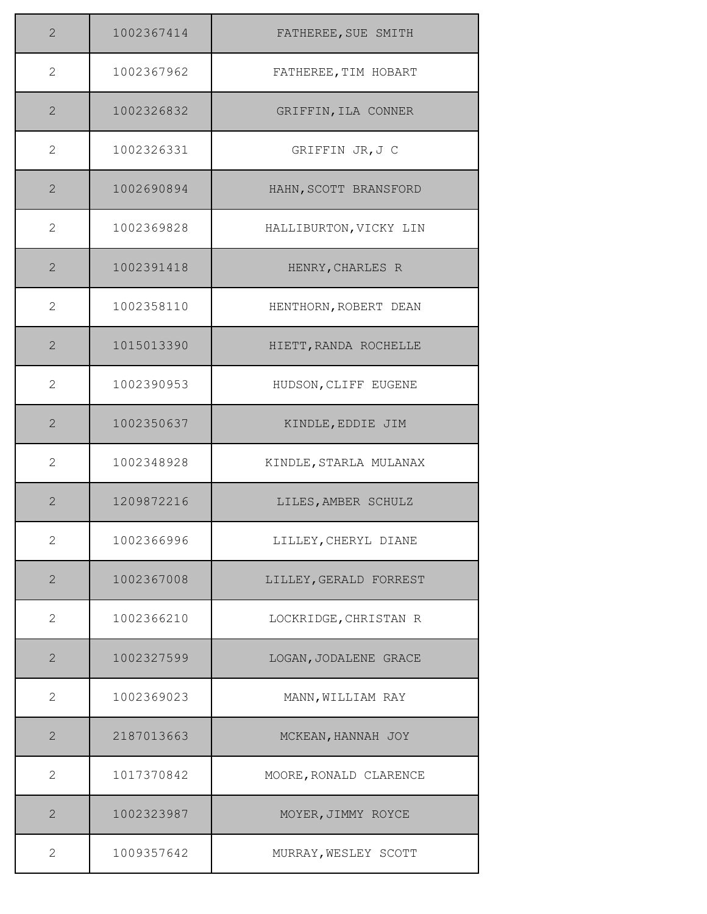| $\mathbf{2}$   | 1002367414 | FATHEREE, SUE SMITH    |
|----------------|------------|------------------------|
| $\overline{2}$ | 1002367962 | FATHEREE, TIM HOBART   |
| $\mathbf{2}$   | 1002326832 | GRIFFIN, ILA CONNER    |
| $\overline{2}$ | 1002326331 | GRIFFIN JR, J C        |
| $\overline{2}$ | 1002690894 | HAHN, SCOTT BRANSFORD  |
| 2              | 1002369828 | HALLIBURTON, VICKY LIN |
| $\overline{2}$ | 1002391418 | HENRY, CHARLES R       |
| $\overline{2}$ | 1002358110 | HENTHORN, ROBERT DEAN  |
| $\mathbf{2}$   | 1015013390 | HIETT, RANDA ROCHELLE  |
| 2              | 1002390953 | HUDSON, CLIFF EUGENE   |
| $\overline{2}$ | 1002350637 | KINDLE, EDDIE JIM      |
| 2              | 1002348928 | KINDLE, STARLA MULANAX |
| $\overline{2}$ | 1209872216 | LILES, AMBER SCHULZ    |
| 2              | 1002366996 | LILLEY, CHERYL DIANE   |
| $\overline{2}$ | 1002367008 | LILLEY, GERALD FORREST |
| $\overline{2}$ | 1002366210 | LOCKRIDGE, CHRISTAN R  |
| $\mathbf{2}$   | 1002327599 | LOGAN, JODALENE GRACE  |
| 2              | 1002369023 | MANN, WILLIAM RAY      |
| $\overline{2}$ | 2187013663 | MCKEAN, HANNAH JOY     |
| 2              | 1017370842 | MOORE, RONALD CLARENCE |
| $\mathbf{2}$   | 1002323987 | MOYER, JIMMY ROYCE     |
| $\mathbf{2}$   | 1009357642 | MURRAY, WESLEY SCOTT   |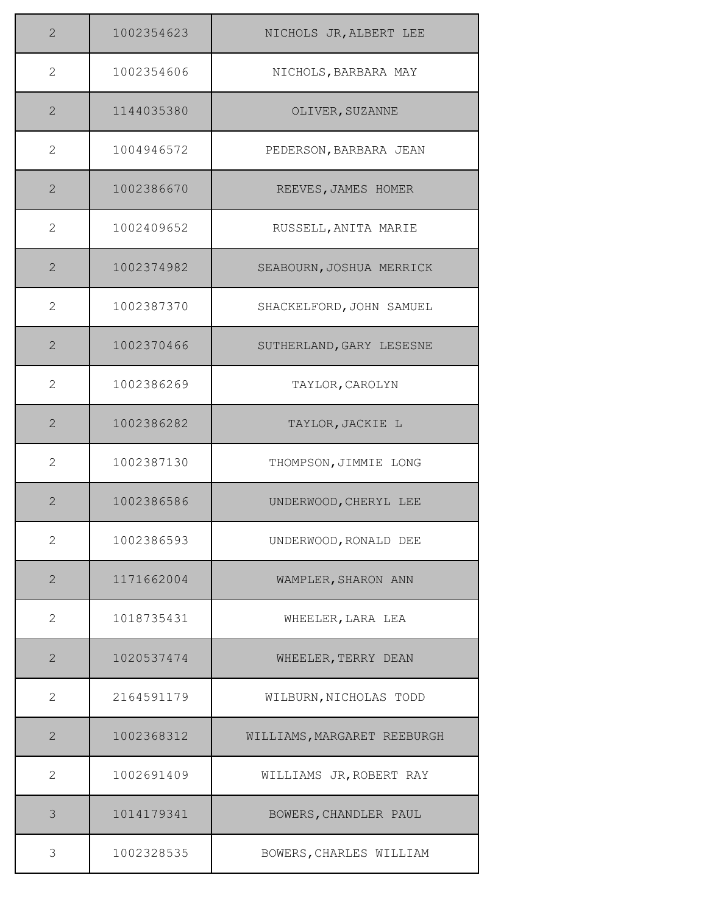| $\mathbf{2}$   | 1002354623 | NICHOLS JR, ALBERT LEE      |
|----------------|------------|-----------------------------|
| 2              | 1002354606 | NICHOLS, BARBARA MAY        |
| $\mathbf{2}$   | 1144035380 | OLIVER, SUZANNE             |
| $\overline{2}$ | 1004946572 | PEDERSON, BARBARA JEAN      |
| $\overline{2}$ | 1002386670 | REEVES, JAMES HOMER         |
| 2              | 1002409652 | RUSSELL, ANITA MARIE        |
| $\overline{2}$ | 1002374982 | SEABOURN, JOSHUA MERRICK    |
| $\overline{2}$ | 1002387370 | SHACKELFORD, JOHN SAMUEL    |
| $\mathbf{2}$   | 1002370466 | SUTHERLAND, GARY LESESNE    |
| $\overline{2}$ | 1002386269 | TAYLOR, CAROLYN             |
| $\overline{2}$ | 1002386282 | TAYLOR, JACKIE L            |
| 2              | 1002387130 | THOMPSON, JIMMIE LONG       |
| $\overline{2}$ | 1002386586 | UNDERWOOD, CHERYL LEE       |
| 2              | 1002386593 | UNDERWOOD, RONALD DEE       |
| $\overline{2}$ | 1171662004 | WAMPLER, SHARON ANN         |
| $\mathbf{2}$   | 1018735431 | WHEELER, LARA LEA           |
| $\mathbf{2}$   | 1020537474 | WHEELER, TERRY DEAN         |
| 2              | 2164591179 | WILBURN, NICHOLAS TODD      |
| $\overline{2}$ | 1002368312 | WILLIAMS, MARGARET REEBURGH |
| 2              | 1002691409 | WILLIAMS JR, ROBERT RAY     |
| 3              | 1014179341 | BOWERS, CHANDLER PAUL       |
| 3              | 1002328535 | BOWERS, CHARLES WILLIAM     |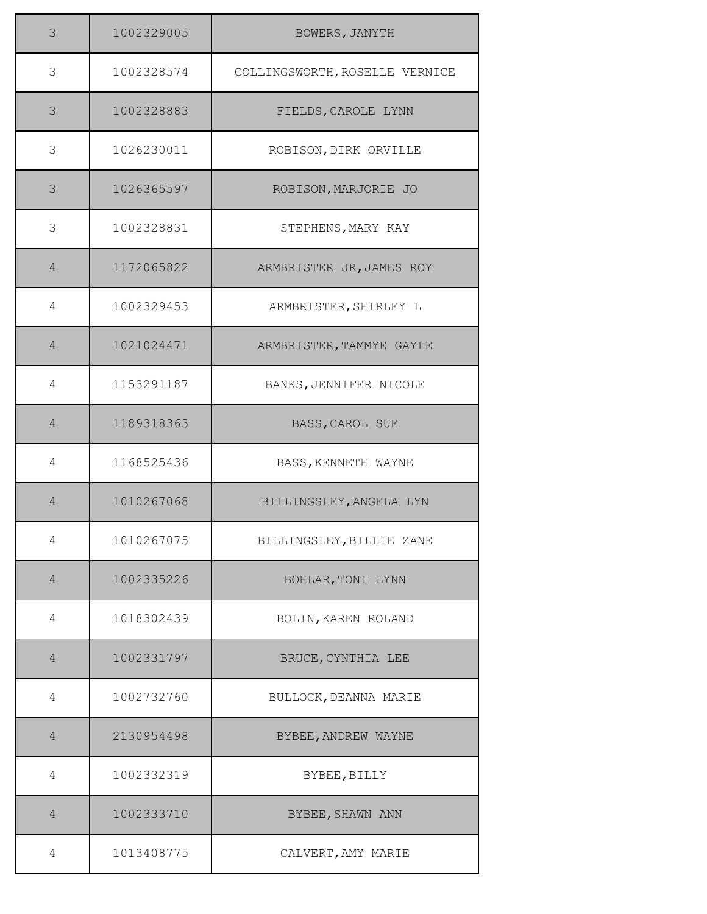| 3              | 1002329005 | BOWERS, JANYTH                 |
|----------------|------------|--------------------------------|
| 3              | 1002328574 | COLLINGSWORTH, ROSELLE VERNICE |
| 3              | 1002328883 | FIELDS, CAROLE LYNN            |
| 3              | 1026230011 | ROBISON, DIRK ORVILLE          |
| 3              | 1026365597 | ROBISON, MARJORIE JO           |
| 3              | 1002328831 | STEPHENS, MARY KAY             |
| $\overline{4}$ | 1172065822 | ARMBRISTER JR, JAMES ROY       |
| 4              | 1002329453 | ARMBRISTER, SHIRLEY L          |
| $\overline{4}$ | 1021024471 | ARMBRISTER, TAMMYE GAYLE       |
| 4              | 1153291187 | BANKS, JENNIFER NICOLE         |
| $\overline{4}$ | 1189318363 | BASS, CAROL SUE                |
| 4              | 1168525436 | BASS, KENNETH WAYNE            |
| $\overline{4}$ | 1010267068 | BILLINGSLEY, ANGELA LYN        |
| 4              | 1010267075 | BILLINGSLEY, BILLIE ZANE       |
| $\overline{4}$ | 1002335226 | BOHLAR, TONI LYNN              |
| 4              | 1018302439 | BOLIN, KAREN ROLAND            |
| $\overline{4}$ | 1002331797 | BRUCE, CYNTHIA LEE             |
| 4              | 1002732760 | BULLOCK, DEANNA MARIE          |
| $\overline{4}$ | 2130954498 | BYBEE, ANDREW WAYNE            |
| 4              | 1002332319 | BYBEE, BILLY                   |
| $\overline{4}$ | 1002333710 | BYBEE, SHAWN ANN               |
| 4              | 1013408775 | CALVERT, AMY MARIE             |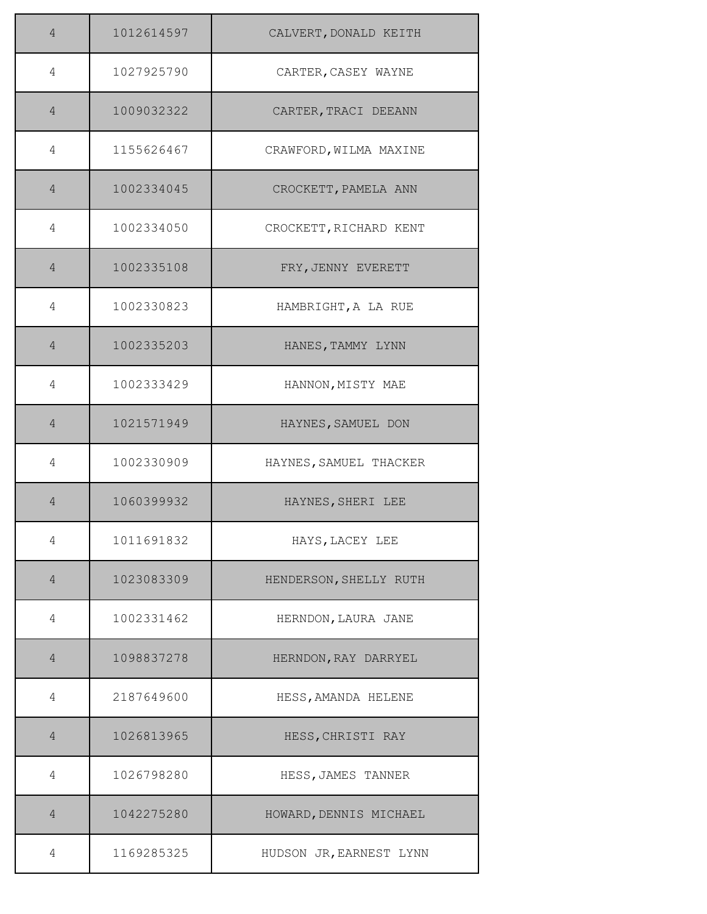| 4              | 1012614597 | CALVERT, DONALD KEITH   |
|----------------|------------|-------------------------|
| 4              | 1027925790 | CARTER, CASEY WAYNE     |
| $\overline{4}$ | 1009032322 | CARTER, TRACI DEEANN    |
| 4              | 1155626467 | CRAWFORD, WILMA MAXINE  |
| $\overline{4}$ | 1002334045 | CROCKETT, PAMELA ANN    |
| 4              | 1002334050 | CROCKETT, RICHARD KENT  |
| $\overline{4}$ | 1002335108 | FRY, JENNY EVERETT      |
| 4              | 1002330823 | HAMBRIGHT, A LA RUE     |
| $\overline{4}$ | 1002335203 | HANES, TAMMY LYNN       |
| 4              | 1002333429 | HANNON, MISTY MAE       |
| $\overline{4}$ | 1021571949 | HAYNES, SAMUEL DON      |
| 4              | 1002330909 | HAYNES, SAMUEL THACKER  |
| $\overline{4}$ | 1060399932 | HAYNES, SHERI LEE       |
| 4              | 1011691832 | HAYS, LACEY LEE         |
| $\overline{4}$ | 1023083309 | HENDERSON, SHELLY RUTH  |
| 4              | 1002331462 | HERNDON, LAURA JANE     |
| $\overline{4}$ | 1098837278 | HERNDON, RAY DARRYEL    |
| 4              | 2187649600 | HESS, AMANDA HELENE     |
| $\overline{4}$ | 1026813965 | HESS, CHRISTI RAY       |
| 4              | 1026798280 | HESS, JAMES TANNER      |
| $\overline{4}$ | 1042275280 | HOWARD, DENNIS MICHAEL  |
| 4              | 1169285325 | HUDSON JR, EARNEST LYNN |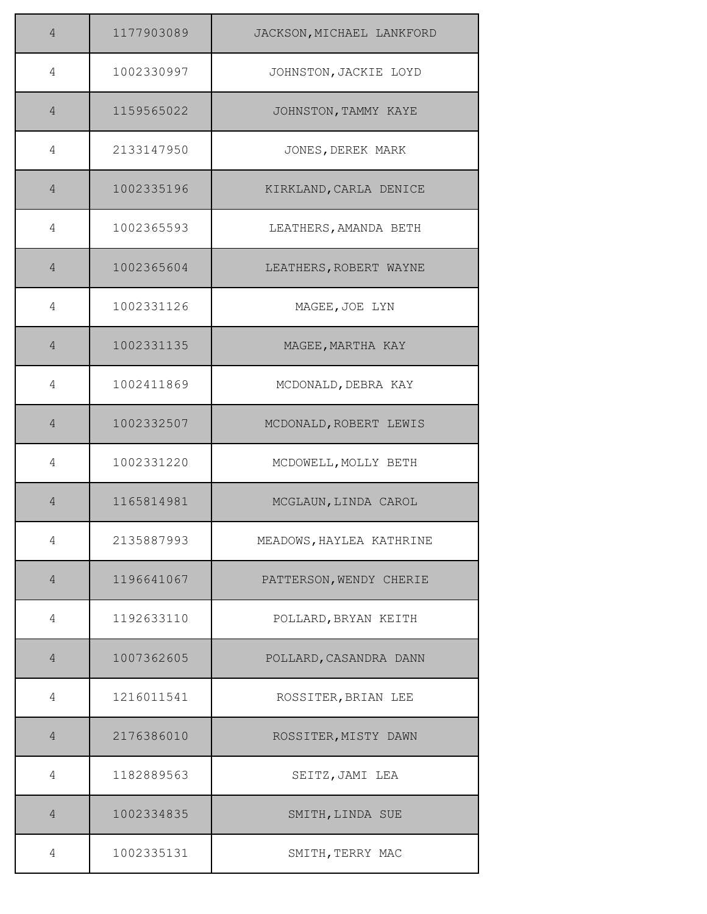| $\overline{4}$ | 1177903089 | JACKSON, MICHAEL LANKFORD |
|----------------|------------|---------------------------|
| 4              | 1002330997 | JOHNSTON, JACKIE LOYD     |
| $\overline{4}$ | 1159565022 | JOHNSTON, TAMMY KAYE      |
| 4              | 2133147950 | JONES, DEREK MARK         |
| $\overline{4}$ | 1002335196 | KIRKLAND, CARLA DENICE    |
| 4              | 1002365593 | LEATHERS, AMANDA BETH     |
| $\overline{4}$ | 1002365604 | LEATHERS, ROBERT WAYNE    |
| 4              | 1002331126 | MAGEE, JOE LYN            |
| $\overline{4}$ | 1002331135 | MAGEE, MARTHA KAY         |
| 4              | 1002411869 | MCDONALD, DEBRA KAY       |
| $\overline{4}$ | 1002332507 | MCDONALD, ROBERT LEWIS    |
| 4              | 1002331220 | MCDOWELL, MOLLY BETH      |
| $\overline{4}$ | 1165814981 | MCGLAUN, LINDA CAROL      |
| 4              | 2135887993 | MEADOWS, HAYLEA KATHRINE  |
| $\overline{4}$ | 1196641067 | PATTERSON, WENDY CHERIE   |
| 4              | 1192633110 | POLLARD, BRYAN KEITH      |
| $\overline{4}$ | 1007362605 | POLLARD, CASANDRA DANN    |
| 4              | 1216011541 | ROSSITER, BRIAN LEE       |
| $\overline{4}$ | 2176386010 | ROSSITER, MISTY DAWN      |
| 4              | 1182889563 | SEITZ, JAMI LEA           |
| $\overline{4}$ | 1002334835 | SMITH, LINDA SUE          |
| 4              | 1002335131 | SMITH, TERRY MAC          |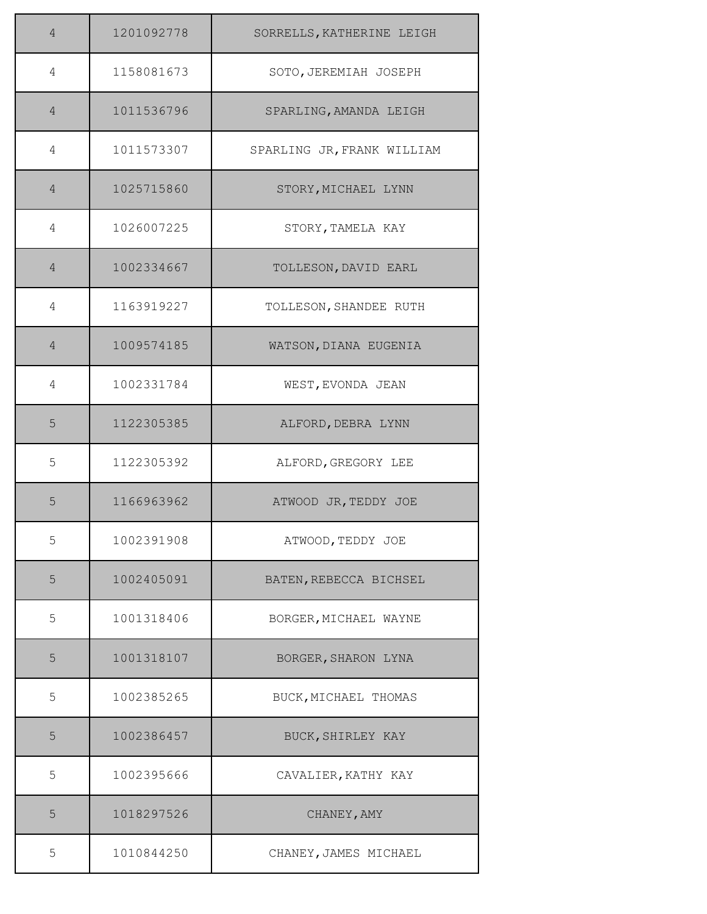| 4              | 1201092778 | SORRELLS, KATHERINE LEIGH  |
|----------------|------------|----------------------------|
| 4              | 1158081673 | SOTO, JEREMIAH JOSEPH      |
| $\overline{4}$ | 1011536796 | SPARLING, AMANDA LEIGH     |
| 4              | 1011573307 | SPARLING JR, FRANK WILLIAM |
| $\overline{4}$ | 1025715860 | STORY, MICHAEL LYNN        |
| 4              | 1026007225 | STORY, TAMELA KAY          |
| $\overline{4}$ | 1002334667 | TOLLESON, DAVID EARL       |
| 4              | 1163919227 | TOLLESON, SHANDEE RUTH     |
| $\overline{4}$ | 1009574185 | WATSON, DIANA EUGENIA      |
| 4              | 1002331784 | WEST, EVONDA JEAN          |
| 5              | 1122305385 | ALFORD, DEBRA LYNN         |
| 5              | 1122305392 | ALFORD, GREGORY LEE        |
| 5              | 1166963962 | ATWOOD JR, TEDDY JOE       |
| 5              | 1002391908 | ATWOOD, TEDDY JOE          |
| 5              | 1002405091 | BATEN, REBECCA BICHSEL     |
| 5              | 1001318406 | BORGER, MICHAEL WAYNE      |
| 5              | 1001318107 | BORGER, SHARON LYNA        |
| 5              | 1002385265 | BUCK, MICHAEL THOMAS       |
| 5              | 1002386457 | BUCK, SHIRLEY KAY          |
| 5              | 1002395666 | CAVALIER, KATHY KAY        |
| 5              | 1018297526 | CHANEY, AMY                |
| 5              | 1010844250 | CHANEY, JAMES MICHAEL      |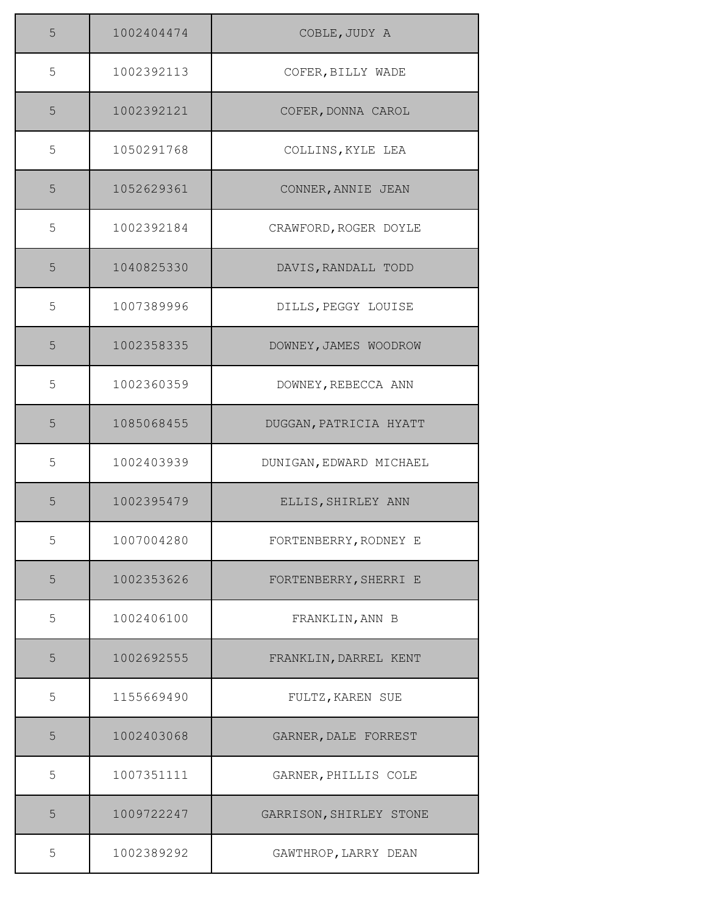| 5 | 1002404474 | COBLE, JUDY A           |
|---|------------|-------------------------|
| 5 | 1002392113 | COFER, BILLY WADE       |
| 5 | 1002392121 | COFER, DONNA CAROL      |
| 5 | 1050291768 | COLLINS, KYLE LEA       |
| 5 | 1052629361 | CONNER, ANNIE JEAN      |
| 5 | 1002392184 | CRAWFORD, ROGER DOYLE   |
| 5 | 1040825330 | DAVIS, RANDALL TODD     |
| 5 | 1007389996 | DILLS, PEGGY LOUISE     |
| 5 | 1002358335 | DOWNEY, JAMES WOODROW   |
| 5 | 1002360359 | DOWNEY, REBECCA ANN     |
| 5 | 1085068455 | DUGGAN, PATRICIA HYATT  |
| 5 | 1002403939 | DUNIGAN, EDWARD MICHAEL |
| 5 | 1002395479 | ELLIS, SHIRLEY ANN      |
| 5 | 1007004280 | FORTENBERRY, RODNEY E   |
| 5 | 1002353626 | FORTENBERRY, SHERRI E   |
| 5 | 1002406100 | FRANKLIN, ANN B         |
| 5 | 1002692555 | FRANKLIN, DARREL KENT   |
| 5 | 1155669490 | FULTZ, KAREN SUE        |
| 5 | 1002403068 | GARNER, DALE FORREST    |
| 5 | 1007351111 | GARNER, PHILLIS COLE    |
| 5 | 1009722247 | GARRISON, SHIRLEY STONE |
| 5 | 1002389292 | GAWTHROP, LARRY DEAN    |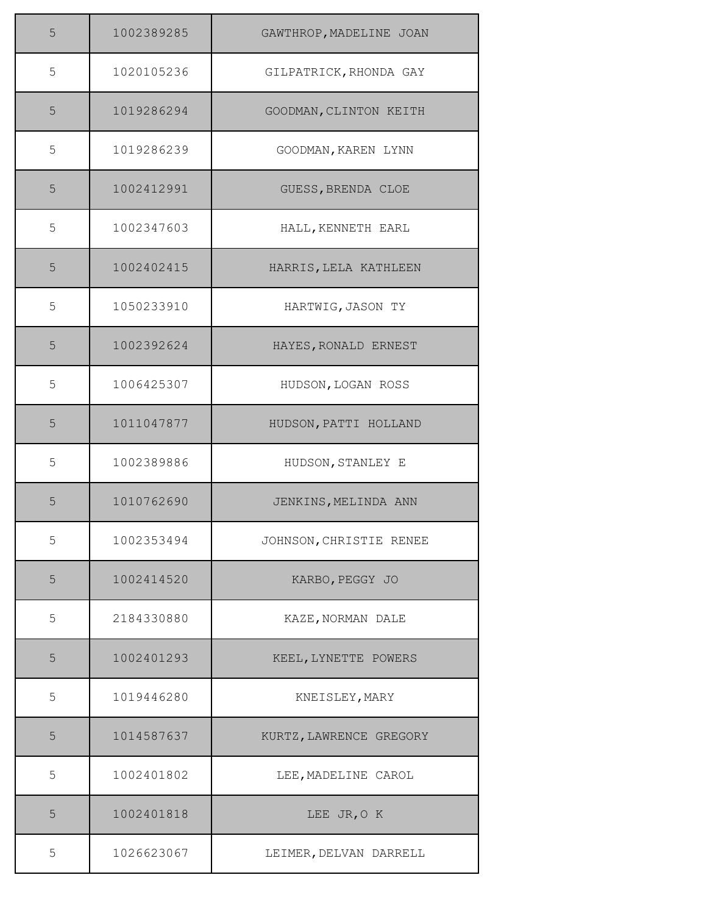| 5 | 1002389285 | GAWTHROP, MADELINE JOAN |
|---|------------|-------------------------|
| 5 | 1020105236 | GILPATRICK, RHONDA GAY  |
| 5 | 1019286294 | GOODMAN, CLINTON KEITH  |
| 5 | 1019286239 | GOODMAN, KAREN LYNN     |
| 5 | 1002412991 | GUESS, BRENDA CLOE      |
| 5 | 1002347603 | HALL, KENNETH EARL      |
| 5 | 1002402415 | HARRIS, LELA KATHLEEN   |
| 5 | 1050233910 | HARTWIG, JASON TY       |
| 5 | 1002392624 | HAYES, RONALD ERNEST    |
| 5 | 1006425307 | HUDSON, LOGAN ROSS      |
| 5 | 1011047877 | HUDSON, PATTI HOLLAND   |
| 5 | 1002389886 | HUDSON, STANLEY E       |
| 5 | 1010762690 | JENKINS, MELINDA ANN    |
| 5 | 1002353494 | JOHNSON, CHRISTIE RENEE |
| 5 | 1002414520 | KARBO, PEGGY JO         |
| 5 | 2184330880 | KAZE, NORMAN DALE       |
| 5 | 1002401293 | KEEL, LYNETTE POWERS    |
| 5 | 1019446280 | KNEISLEY, MARY          |
| 5 | 1014587637 | KURTZ, LAWRENCE GREGORY |
| 5 | 1002401802 | LEE, MADELINE CAROL     |
| 5 | 1002401818 | LEE JR, O K             |
| 5 | 1026623067 | LEIMER, DELVAN DARRELL  |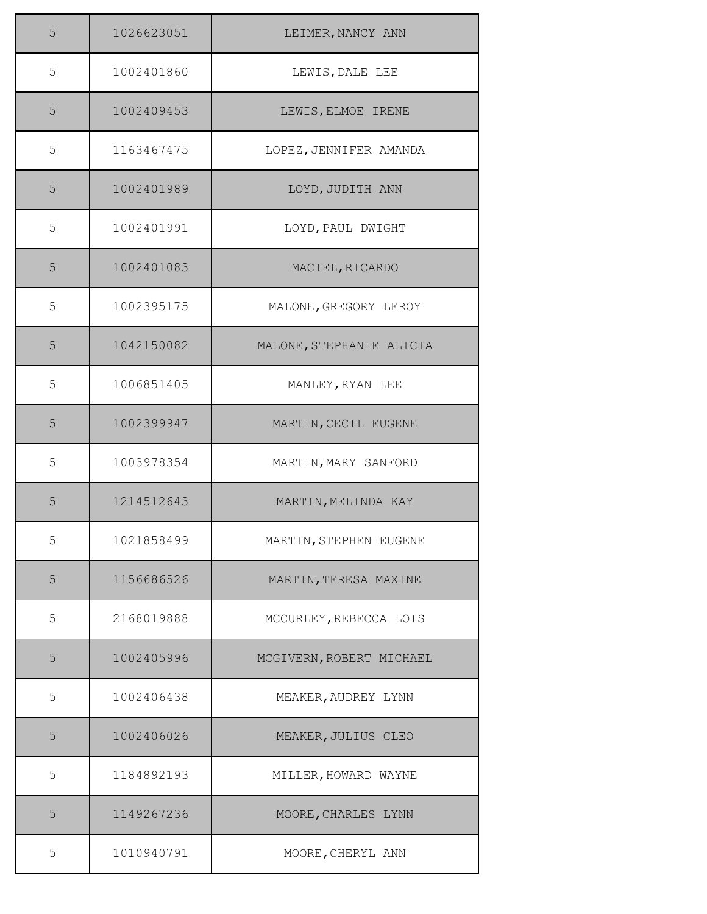| 5 | 1026623051 | LEIMER, NANCY ANN        |
|---|------------|--------------------------|
| 5 | 1002401860 | LEWIS, DALE LEE          |
| 5 | 1002409453 | LEWIS, ELMOE IRENE       |
| 5 | 1163467475 | LOPEZ, JENNIFER AMANDA   |
| 5 | 1002401989 | LOYD, JUDITH ANN         |
| 5 | 1002401991 | LOYD, PAUL DWIGHT        |
| 5 | 1002401083 | MACIEL, RICARDO          |
| 5 | 1002395175 | MALONE, GREGORY LEROY    |
| 5 | 1042150082 | MALONE, STEPHANIE ALICIA |
| 5 | 1006851405 | MANLEY, RYAN LEE         |
| 5 | 1002399947 | MARTIN, CECIL EUGENE     |
| 5 | 1003978354 | MARTIN, MARY SANFORD     |
| 5 | 1214512643 | MARTIN, MELINDA KAY      |
| 5 | 1021858499 | MARTIN, STEPHEN EUGENE   |
| 5 | 1156686526 | MARTIN, TERESA MAXINE    |
| 5 | 2168019888 | MCCURLEY, REBECCA LOIS   |
| 5 | 1002405996 | MCGIVERN, ROBERT MICHAEL |
| 5 | 1002406438 | MEAKER, AUDREY LYNN      |
| 5 | 1002406026 | MEAKER, JULIUS CLEO      |
| 5 | 1184892193 | MILLER, HOWARD WAYNE     |
| 5 | 1149267236 | MOORE, CHARLES LYNN      |
| 5 | 1010940791 | MOORE, CHERYL ANN        |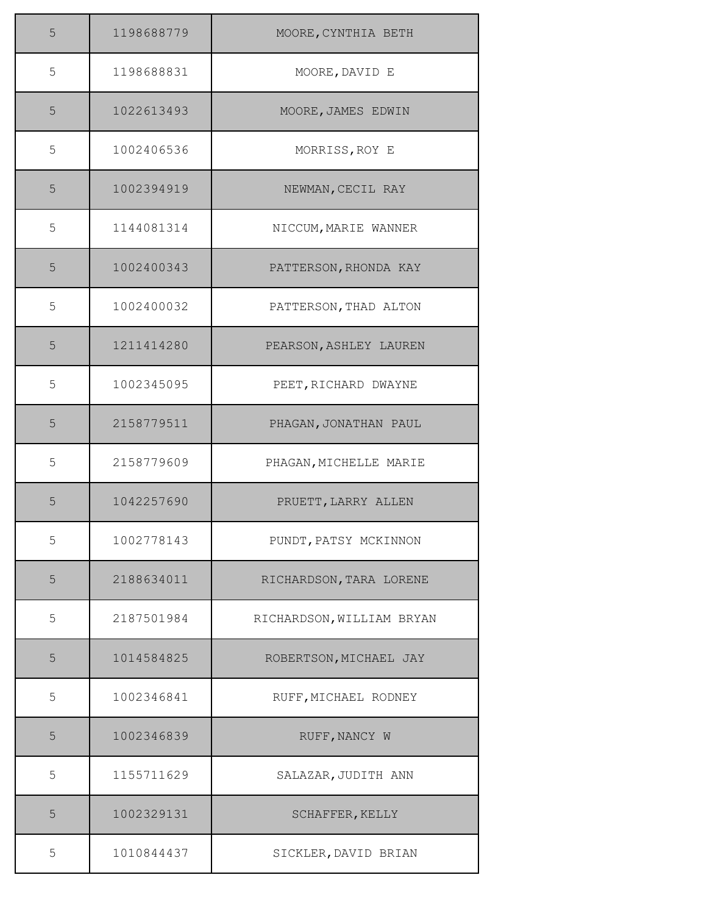| 5 | 1198688779 | MOORE, CYNTHIA BETH       |
|---|------------|---------------------------|
| 5 | 1198688831 | MOORE, DAVID E            |
| 5 | 1022613493 | MOORE, JAMES EDWIN        |
| 5 | 1002406536 | MORRISS, ROY E            |
| 5 | 1002394919 | NEWMAN, CECIL RAY         |
| 5 | 1144081314 | NICCUM, MARIE WANNER      |
| 5 | 1002400343 | PATTERSON, RHONDA KAY     |
| 5 | 1002400032 | PATTERSON, THAD ALTON     |
| 5 | 1211414280 | PEARSON, ASHLEY LAUREN    |
| 5 | 1002345095 | PEET, RICHARD DWAYNE      |
| 5 | 2158779511 | PHAGAN, JONATHAN PAUL     |
| 5 | 2158779609 | PHAGAN, MICHELLE MARIE    |
| 5 | 1042257690 | PRUETT, LARRY ALLEN       |
| 5 | 1002778143 | PUNDT, PATSY MCKINNON     |
| 5 | 2188634011 | RICHARDSON, TARA LORENE   |
| 5 | 2187501984 | RICHARDSON, WILLIAM BRYAN |
| 5 | 1014584825 | ROBERTSON, MICHAEL JAY    |
| 5 | 1002346841 | RUFF, MICHAEL RODNEY      |
| 5 | 1002346839 | RUFF, NANCY W             |
| 5 | 1155711629 | SALAZAR, JUDITH ANN       |
| 5 | 1002329131 | SCHAFFER, KELLY           |
| 5 | 1010844437 | SICKLER, DAVID BRIAN      |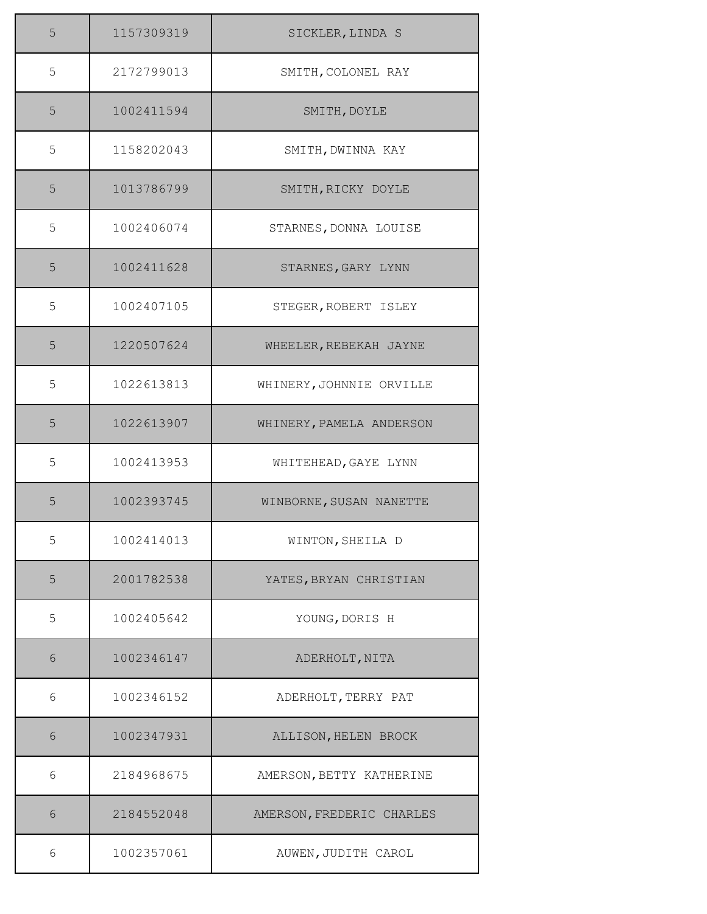| 5     | 1157309319 | SICKLER, LINDA S          |
|-------|------------|---------------------------|
| 5     | 2172799013 | SMITH, COLONEL RAY        |
| 5     | 1002411594 | SMITH, DOYLE              |
| 5     | 1158202043 | SMITH, DWINNA KAY         |
| 5     | 1013786799 | SMITH, RICKY DOYLE        |
| 5     | 1002406074 | STARNES, DONNA LOUISE     |
| 5     | 1002411628 | STARNES, GARY LYNN        |
| 5     | 1002407105 | STEGER, ROBERT ISLEY      |
| 5     | 1220507624 | WHEELER, REBEKAH JAYNE    |
| 5     | 1022613813 | WHINERY, JOHNNIE ORVILLE  |
| 5     | 1022613907 | WHINERY, PAMELA ANDERSON  |
| 5     | 1002413953 | WHITEHEAD, GAYE LYNN      |
| 5     | 1002393745 | WINBORNE, SUSAN NANETTE   |
| 5     | 1002414013 | WINTON, SHEILA D          |
| 5     | 2001782538 | YATES, BRYAN CHRISTIAN    |
| 5     | 1002405642 | YOUNG, DORIS H            |
| 6     | 1002346147 | ADERHOLT, NITA            |
| 6     | 1002346152 | ADERHOLT, TERRY PAT       |
| 6     | 1002347931 | ALLISON, HELEN BROCK      |
| 6     | 2184968675 | AMERSON, BETTY KATHERINE  |
| $6\,$ | 2184552048 | AMERSON, FREDERIC CHARLES |
| 6     | 1002357061 | AUWEN, JUDITH CAROL       |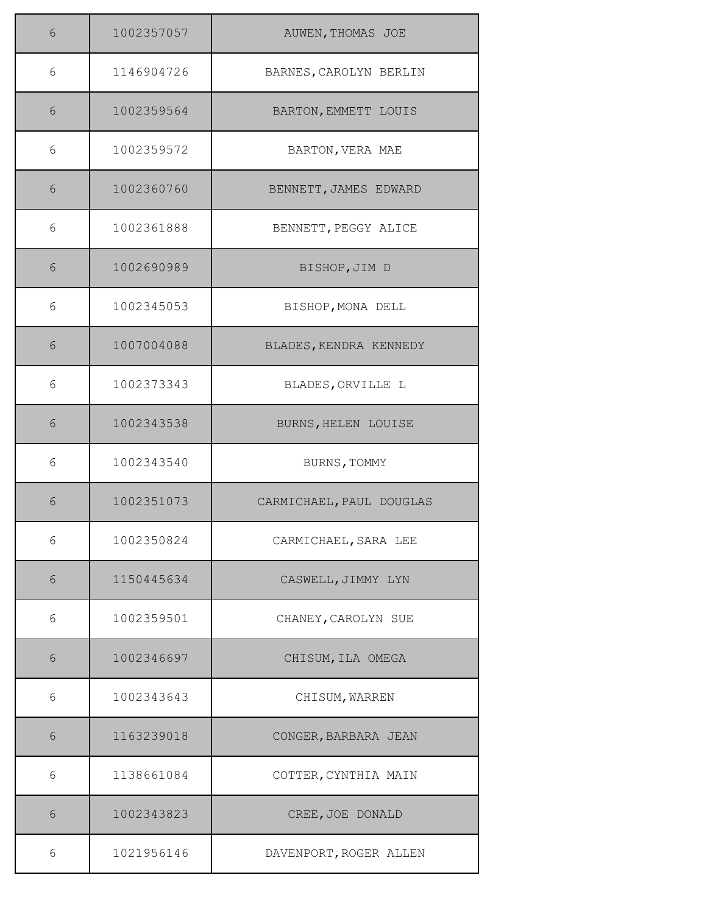| 6     | 1002357057 | AUWEN, THOMAS JOE        |
|-------|------------|--------------------------|
| 6     | 1146904726 | BARNES, CAROLYN BERLIN   |
| 6     | 1002359564 | BARTON, EMMETT LOUIS     |
| 6     | 1002359572 | BARTON, VERA MAE         |
| 6     | 1002360760 | BENNETT, JAMES EDWARD    |
| 6     | 1002361888 | BENNETT, PEGGY ALICE     |
| 6     | 1002690989 | BISHOP, JIM D            |
| 6     | 1002345053 | BISHOP, MONA DELL        |
| 6     | 1007004088 | BLADES, KENDRA KENNEDY   |
| 6     | 1002373343 | BLADES, ORVILLE L        |
| 6     | 1002343538 | BURNS, HELEN LOUISE      |
| 6     | 1002343540 | BURNS, TOMMY             |
| $6\,$ | 1002351073 | CARMICHAEL, PAUL DOUGLAS |
| 6     | 1002350824 | CARMICHAEL, SARA LEE     |
| 6     | 1150445634 | CASWELL, JIMMY LYN       |
| 6     | 1002359501 | CHANEY, CAROLYN SUE      |
| 6     | 1002346697 | CHISUM, ILA OMEGA        |
| 6     | 1002343643 | CHISUM, WARREN           |
| 6     | 1163239018 | CONGER, BARBARA JEAN     |
| 6     | 1138661084 | COTTER, CYNTHIA MAIN     |
| 6     | 1002343823 | CREE, JOE DONALD         |
| 6     | 1021956146 | DAVENPORT, ROGER ALLEN   |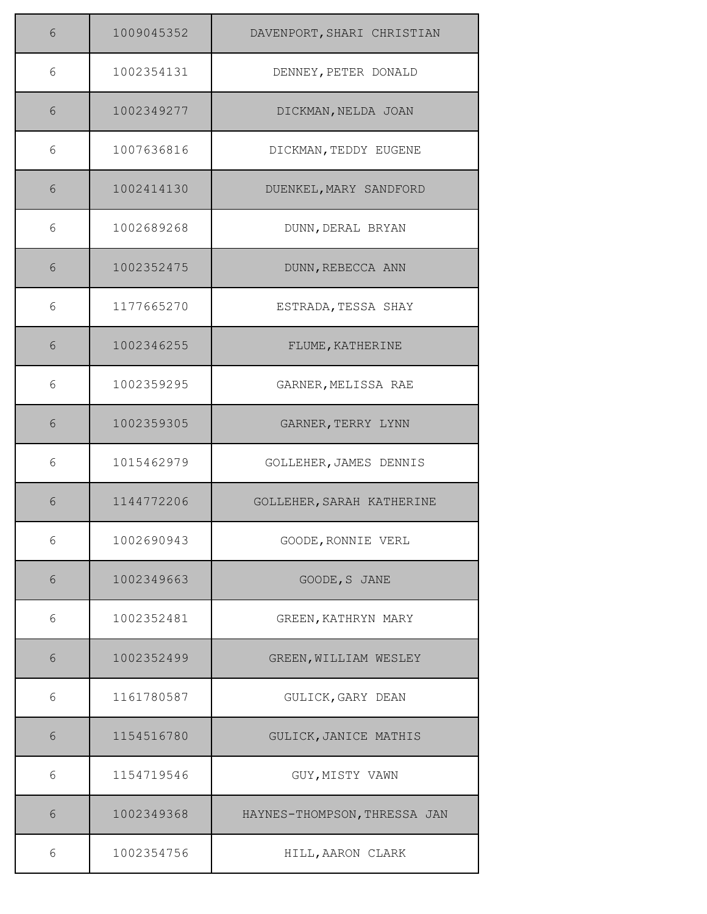| 6 | 1009045352 | DAVENPORT, SHARI CHRISTIAN   |
|---|------------|------------------------------|
| 6 | 1002354131 | DENNEY, PETER DONALD         |
| 6 | 1002349277 | DICKMAN, NELDA JOAN          |
| 6 | 1007636816 | DICKMAN, TEDDY EUGENE        |
| 6 | 1002414130 | DUENKEL, MARY SANDFORD       |
| 6 | 1002689268 | DUNN, DERAL BRYAN            |
| 6 | 1002352475 | DUNN, REBECCA ANN            |
| 6 | 1177665270 | ESTRADA, TESSA SHAY          |
| 6 | 1002346255 | FLUME, KATHERINE             |
| 6 | 1002359295 | GARNER, MELISSA RAE          |
| 6 | 1002359305 | GARNER, TERRY LYNN           |
| 6 | 1015462979 | GOLLEHER, JAMES DENNIS       |
| 6 | 1144772206 | GOLLEHER, SARAH KATHERINE    |
| 6 | 1002690943 | GOODE, RONNIE VERL           |
| 6 | 1002349663 | GOODE, S JANE                |
| 6 | 1002352481 | GREEN, KATHRYN MARY          |
| 6 | 1002352499 | GREEN, WILLIAM WESLEY        |
| 6 | 1161780587 | GULICK, GARY DEAN            |
| 6 | 1154516780 | GULICK, JANICE MATHIS        |
| 6 | 1154719546 | GUY, MISTY VAWN              |
| 6 | 1002349368 | HAYNES-THOMPSON, THRESSA JAN |
| 6 | 1002354756 | HILL, AARON CLARK            |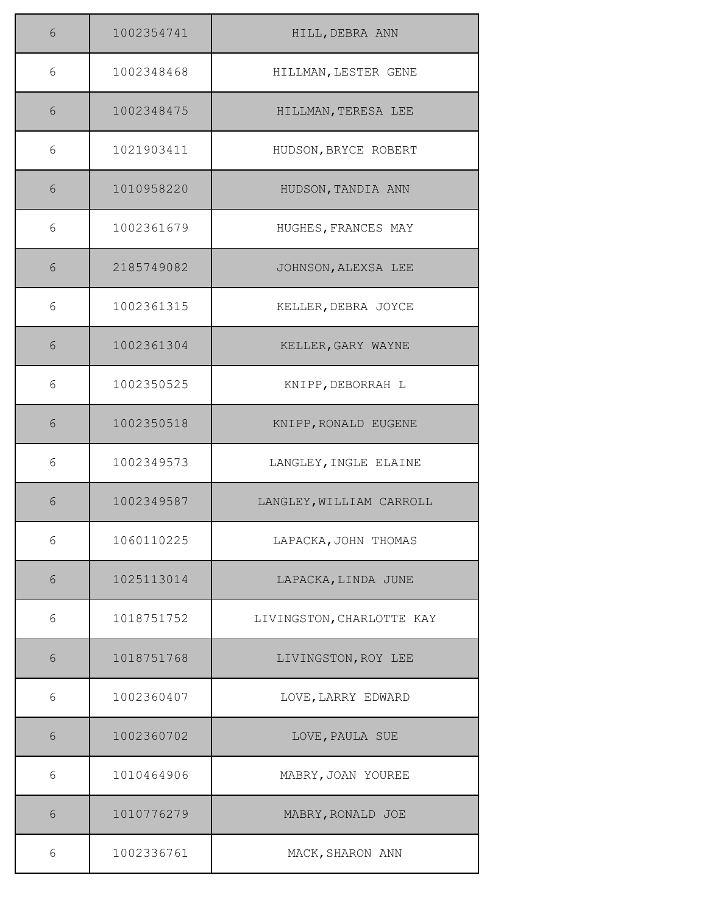| 6 | 1002354741 | HILL, DEBRA ANN           |
|---|------------|---------------------------|
| 6 | 1002348468 | HILLMAN, LESTER GENE      |
| 6 | 1002348475 | HILLMAN, TERESA LEE       |
| 6 | 1021903411 | HUDSON, BRYCE ROBERT      |
| 6 | 1010958220 | HUDSON, TANDIA ANN        |
| 6 | 1002361679 | HUGHES, FRANCES MAY       |
| 6 | 2185749082 | JOHNSON, ALEXSA LEE       |
| 6 | 1002361315 | KELLER, DEBRA JOYCE       |
| 6 | 1002361304 | KELLER, GARY WAYNE        |
| 6 | 1002350525 | KNIPP, DEBORRAH L         |
| 6 | 1002350518 | KNIPP, RONALD EUGENE      |
| 6 | 1002349573 | LANGLEY, INGLE ELAINE     |
| 6 | 1002349587 | LANGLEY, WILLIAM CARROLL  |
| 6 | 1060110225 | LAPACKA, JOHN THOMAS      |
| 6 | 1025113014 | LAPACKA, LINDA JUNE       |
| 6 | 1018751752 | LIVINGSTON, CHARLOTTE KAY |
| 6 | 1018751768 | LIVINGSTON, ROY LEE       |
| 6 | 1002360407 | LOVE, LARRY EDWARD        |
| 6 | 1002360702 | LOVE, PAULA SUE           |
| 6 | 1010464906 | MABRY, JOAN YOUREE        |
| 6 | 1010776279 | MABRY, RONALD JOE         |
| 6 | 1002336761 | MACK, SHARON ANN          |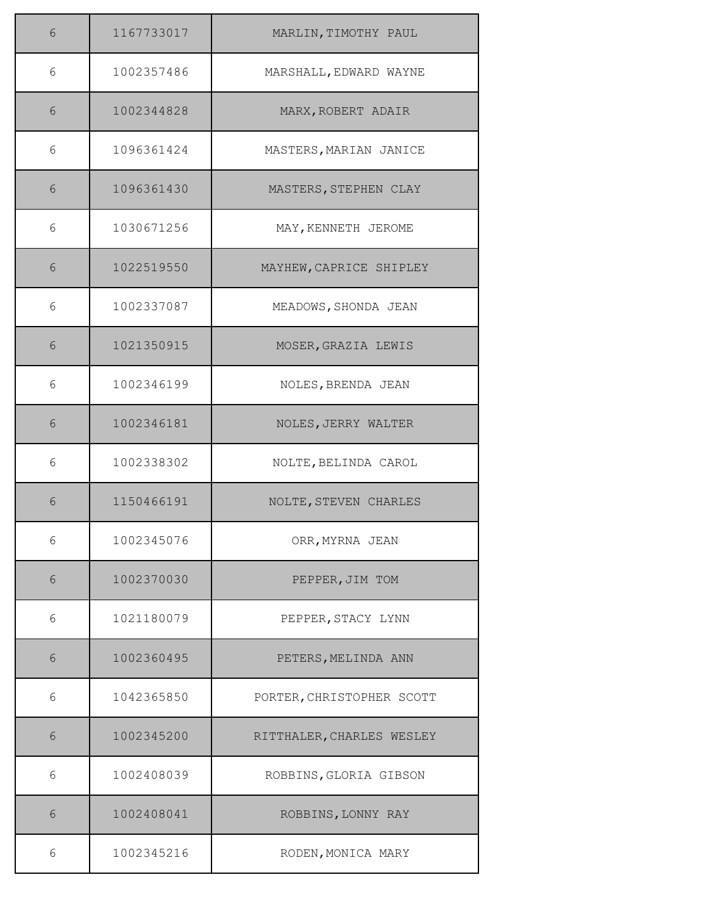| 6 | 1167733017 | MARLIN, TIMOTHY PAUL      |
|---|------------|---------------------------|
| 6 | 1002357486 | MARSHALL, EDWARD WAYNE    |
| 6 | 1002344828 | MARX, ROBERT ADAIR        |
| 6 | 1096361424 | MASTERS, MARIAN JANICE    |
| 6 | 1096361430 | MASTERS, STEPHEN CLAY     |
| 6 | 1030671256 | MAY, KENNETH JEROME       |
| 6 | 1022519550 | MAYHEW, CAPRICE SHIPLEY   |
| 6 | 1002337087 | MEADOWS, SHONDA JEAN      |
| 6 | 1021350915 | MOSER, GRAZIA LEWIS       |
| 6 | 1002346199 | NOLES, BRENDA JEAN        |
| 6 | 1002346181 | NOLES, JERRY WALTER       |
| 6 | 1002338302 | NOLTE, BELINDA CAROL      |
| 6 | 1150466191 | NOLTE, STEVEN CHARLES     |
| 6 | 1002345076 | ORR, MYRNA JEAN           |
| 6 | 1002370030 | PEPPER, JIM TOM           |
| 6 | 1021180079 | PEPPER, STACY LYNN        |
| 6 | 1002360495 | PETERS, MELINDA ANN       |
| 6 | 1042365850 | PORTER, CHRISTOPHER SCOTT |
| 6 | 1002345200 | RITTHALER, CHARLES WESLEY |
| 6 | 1002408039 | ROBBINS, GLORIA GIBSON    |
| 6 | 1002408041 | ROBBINS, LONNY RAY        |
| 6 | 1002345216 | RODEN, MONICA MARY        |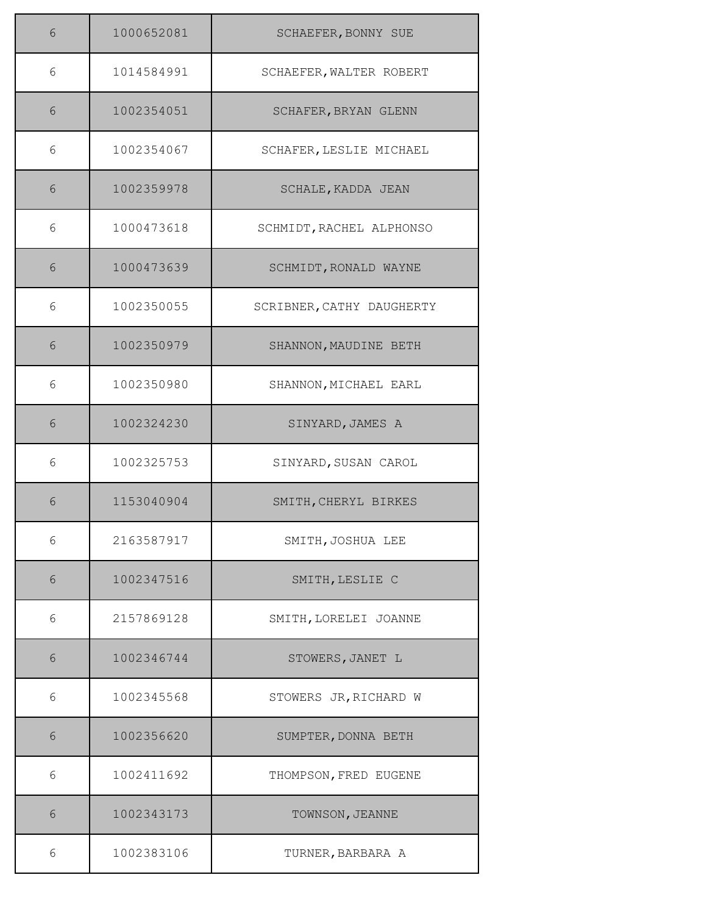| 6 | 1000652081 | SCHAEFER, BONNY SUE       |
|---|------------|---------------------------|
| 6 | 1014584991 | SCHAEFER, WALTER ROBERT   |
| 6 | 1002354051 | SCHAFER, BRYAN GLENN      |
| 6 | 1002354067 | SCHAFER, LESLIE MICHAEL   |
| 6 | 1002359978 | SCHALE, KADDA JEAN        |
| 6 | 1000473618 | SCHMIDT, RACHEL ALPHONSO  |
| 6 | 1000473639 | SCHMIDT, RONALD WAYNE     |
| 6 | 1002350055 | SCRIBNER, CATHY DAUGHERTY |
| 6 | 1002350979 | SHANNON, MAUDINE BETH     |
| 6 | 1002350980 | SHANNON, MICHAEL EARL     |
| 6 | 1002324230 | SINYARD, JAMES A          |
| 6 | 1002325753 | SINYARD, SUSAN CAROL      |
| 6 | 1153040904 | SMITH, CHERYL BIRKES      |
| 6 | 2163587917 | SMITH, JOSHUA LEE         |
| 6 | 1002347516 | SMITH, LESLIE C           |
| 6 | 2157869128 | SMITH, LORELEI JOANNE     |
| 6 | 1002346744 | STOWERS, JANET L          |
| 6 | 1002345568 | STOWERS JR, RICHARD W     |
| 6 | 1002356620 | SUMPTER, DONNA BETH       |
| 6 | 1002411692 | THOMPSON, FRED EUGENE     |
| 6 | 1002343173 | TOWNSON, JEANNE           |
| 6 | 1002383106 | TURNER, BARBARA A         |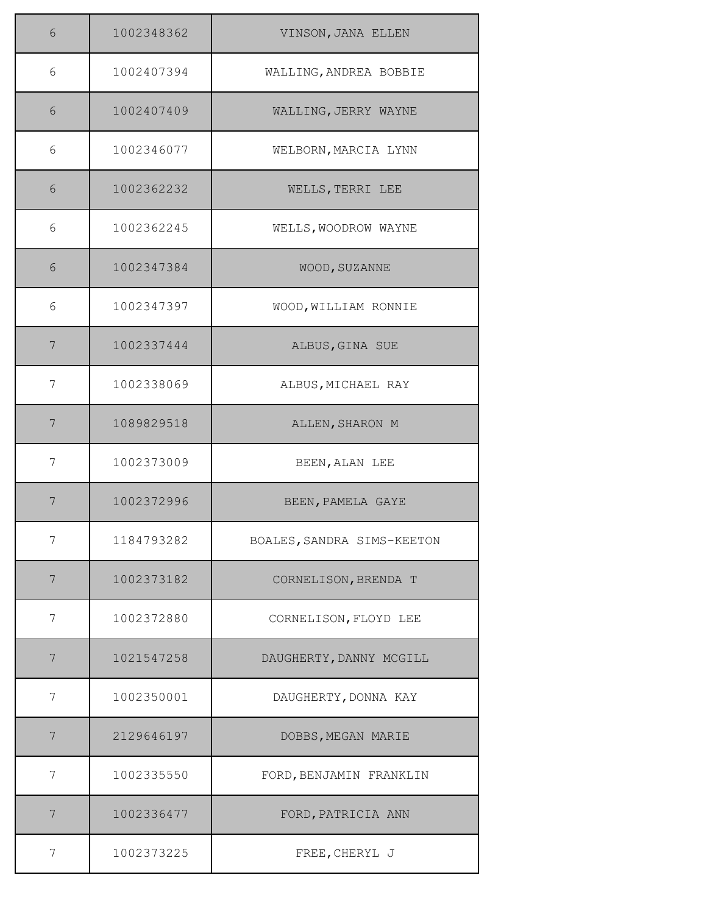| 6 | 1002348362 | VINSON, JANA ELLEN         |
|---|------------|----------------------------|
| 6 | 1002407394 | WALLING, ANDREA BOBBIE     |
| 6 | 1002407409 | WALLING, JERRY WAYNE       |
| 6 | 1002346077 | WELBORN, MARCIA LYNN       |
| 6 | 1002362232 | WELLS, TERRI LEE           |
| 6 | 1002362245 | WELLS, WOODROW WAYNE       |
| 6 | 1002347384 | WOOD, SUZANNE              |
| 6 | 1002347397 | WOOD, WILLIAM RONNIE       |
| 7 | 1002337444 | ALBUS, GINA SUE            |
| 7 | 1002338069 | ALBUS, MICHAEL RAY         |
| 7 | 1089829518 | ALLEN, SHARON M            |
| 7 | 1002373009 | BEEN, ALAN LEE             |
| 7 | 1002372996 | BEEN, PAMELA GAYE          |
| 7 | 1184793282 | BOALES, SANDRA SIMS-KEETON |
| 7 | 1002373182 | CORNELISON, BRENDA T       |
| 7 | 1002372880 | CORNELISON, FLOYD LEE      |
| 7 | 1021547258 | DAUGHERTY, DANNY MCGILL    |
| 7 | 1002350001 | DAUGHERTY, DONNA KAY       |
| 7 | 2129646197 | DOBBS, MEGAN MARIE         |
| 7 | 1002335550 | FORD, BENJAMIN FRANKLIN    |
| 7 | 1002336477 | FORD, PATRICIA ANN         |
| 7 | 1002373225 | FREE, CHERYL J             |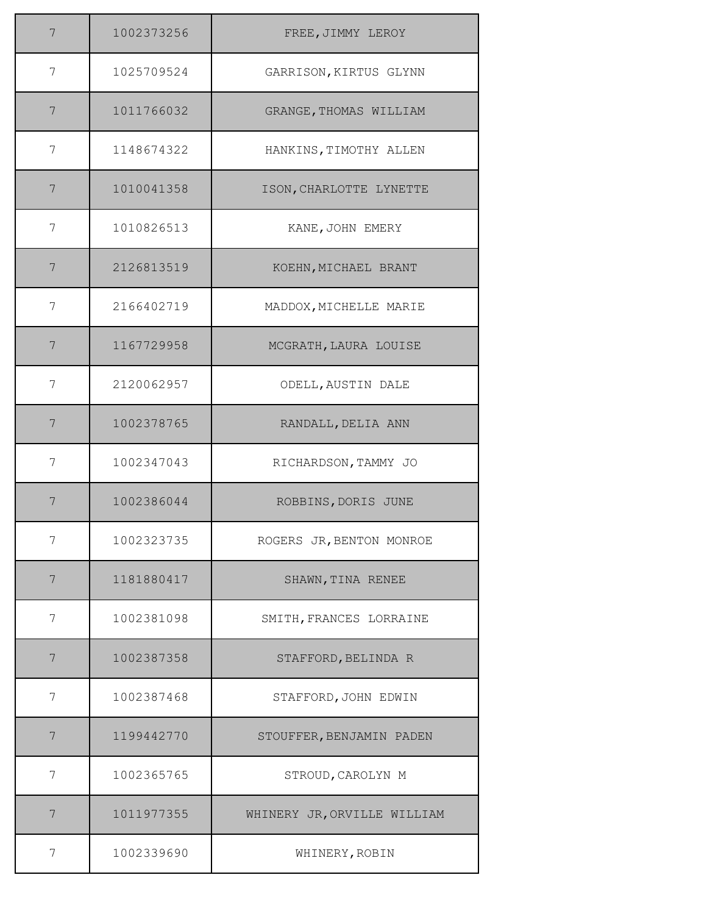| 7                | 1002373256 | FREE, JIMMY LEROY           |
|------------------|------------|-----------------------------|
| 7                | 1025709524 | GARRISON, KIRTUS GLYNN      |
| $\boldsymbol{7}$ | 1011766032 | GRANGE, THOMAS WILLIAM      |
| 7                | 1148674322 | HANKINS, TIMOTHY ALLEN      |
| 7                | 1010041358 | ISON, CHARLOTTE LYNETTE     |
| 7                | 1010826513 | KANE, JOHN EMERY            |
| 7                | 2126813519 | KOEHN, MICHAEL BRANT        |
| 7                | 2166402719 | MADDOX, MICHELLE MARIE      |
| 7                | 1167729958 | MCGRATH, LAURA LOUISE       |
| 7                | 2120062957 | ODELL, AUSTIN DALE          |
| 7                | 1002378765 | RANDALL, DELIA ANN          |
| 7                | 1002347043 | RICHARDSON, TAMMY JO        |
| 7                | 1002386044 | ROBBINS, DORIS JUNE         |
| 7                | 1002323735 | ROGERS JR, BENTON MONROE    |
| 7                | 1181880417 | SHAWN, TINA RENEE           |
| 7                | 1002381098 | SMITH, FRANCES LORRAINE     |
| 7                | 1002387358 | STAFFORD, BELINDA R         |
| 7                | 1002387468 | STAFFORD, JOHN EDWIN        |
| 7                | 1199442770 | STOUFFER, BENJAMIN PADEN    |
| 7                | 1002365765 | STROUD, CAROLYN M           |
| 7                | 1011977355 | WHINERY JR, ORVILLE WILLIAM |
| 7                | 1002339690 | WHINERY, ROBIN              |